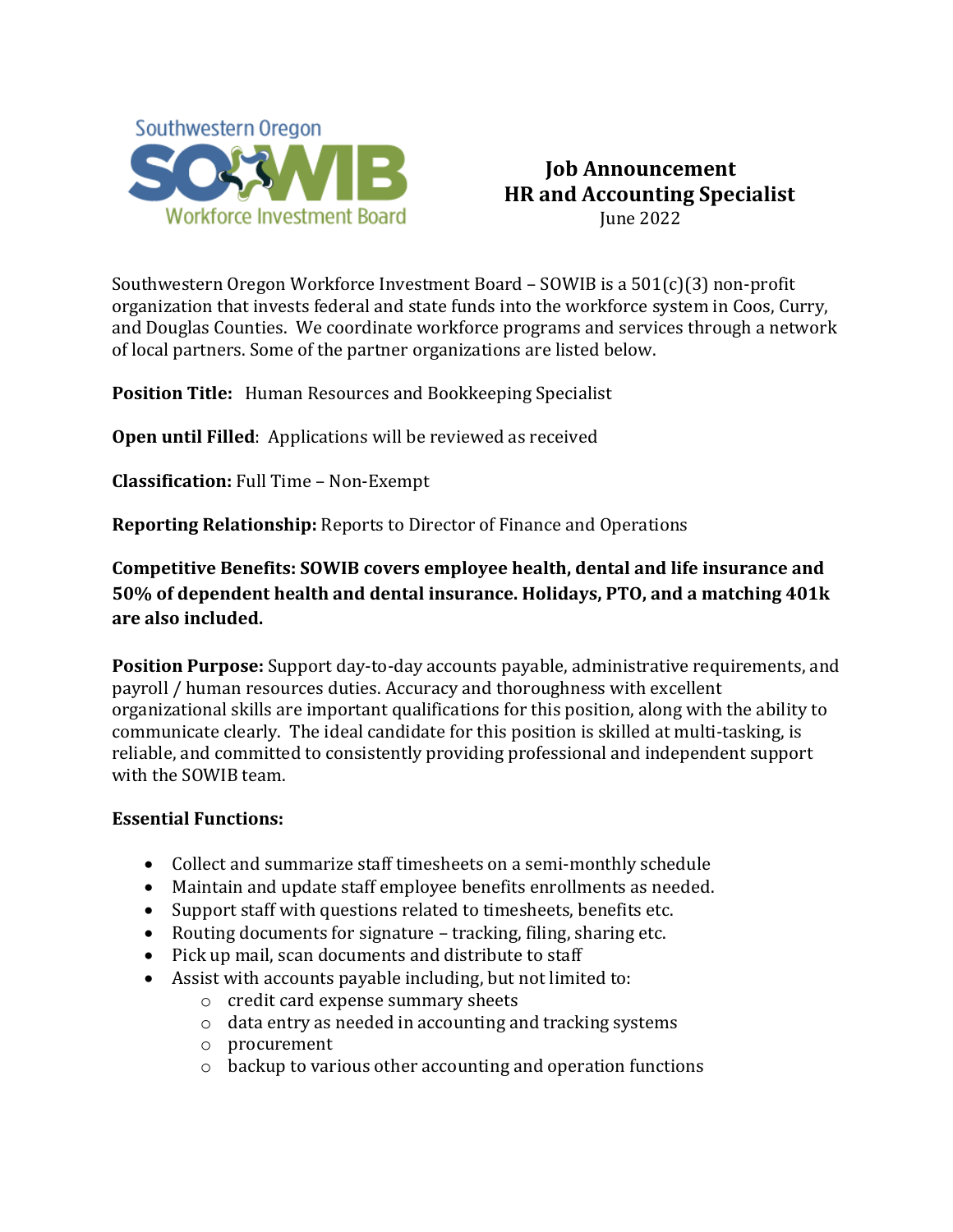

## **Job Announcement HR and Accounting Specialist** June 2022

Southwestern Oregon Workforce Investment Board – SOWIB is a 501(c)(3) non-profit organization that invests federal and state funds into the workforce system in [Coos,](http://www.co.coos.or.us/) [Curry,](http://www.co.curry.or.us/) and [Douglas](http://www.co.douglas.or.us/) Counties. We coordinate workforce programs and services through a network of local partners. Some of the partner organizations are listed below.

**Position Title:** Human Resources and Bookkeeping Specialist

**Open until Filled:** Applications will be reviewed as received

**Classification:** Full Time – Non-Exempt

**Reporting Relationship:** Reports to Director of Finance and Operations

**Competitive Benefits: SOWIB covers employee health, dental and life insurance and 50% of dependent health and dental insurance. Holidays, PTO, and a matching 401k are also included.**

**Position Purpose:** Support day-to-day accounts payable, administrative requirements, and payroll / human resources duties. Accuracy and thoroughness with excellent organizational skills are important qualifications for this position, along with the ability to communicate clearly. The ideal candidate for this position is skilled at multi-tasking, is reliable, and committed to consistently providing professional and independent support with the SOWIB team.

## **Essential Functions:**

- Collect and summarize staff timesheets on a semi-monthly schedule
- Maintain and update staff employee benefits enrollments as needed.
- Support staff with questions related to timesheets, benefits etc.
- Routing documents for signature tracking, filing, sharing etc.
- Pick up mail, scan documents and distribute to staff
- Assist with accounts payable including, but not limited to:
	- o credit card expense summary sheets
	- $\circ$  data entry as needed in accounting and tracking systems  $\circ$  procurement
	- procurement
	- o backup to various other accounting and operation functions